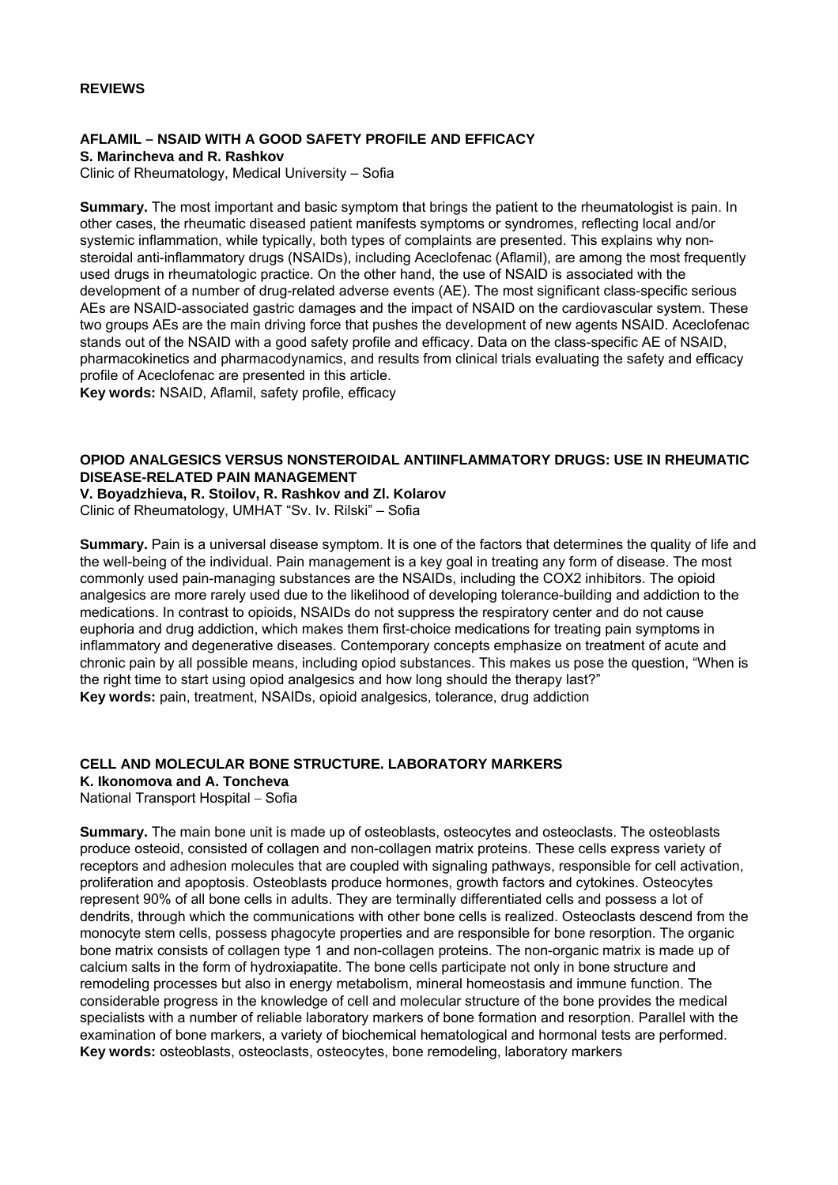#### **REVIEWS**

#### **AFLAMIL – NSAID WITH A GOOD SAFETY PROFILE AND EFFICACY S. Marincheva and R. Rashkov**

Сlinic of Rheumatology, Medical University – Sofia

**Summary.** The most important and basic symptom that brings the patient to the rheumatologist is pain. In other cases, the rheumatic diseased patient manifests symptoms or syndromes, reflecting local and/or systemic inflammation, while typically, both types of complaints are presented. This explains why nonsteroidal anti-inflammatory drugs (NSAIDs), including Aceclofenac (Aflamil), are among the most frequently used drugs in rheumatologic practice. On the other hand, the use of NSAID is associated with the development of a number of drug-related adverse events (AE). The most significant class-specific serious AEs are NSAID-associated gastric damages and the impact of NSAID on the cardiovascular system. These two groups AEs are the main driving force that pushes the development of new agents NSAID. Aceclofenac stands out of the NSAID with a good safety profile and efficacy. Data on the class-specific AE of NSAID, pharmacokinetics and pharmacodynamics, and results from clinical trials evaluating the safety and efficacy profile of Aceclofenac are presented in this article.

**Key words:** NSAID, Aflamil, safety profile, efficacy

# **OPIOD ANALGESICS VERSUS NONSTEROIDAL ANTIINFLAMMATORY DRUGS: USE IN RHEUMATIC DISEASE-RELATED PAIN MANAGEMENT**

**V. Boyadzhieva, R. Stoilov, R. Rashkov and Zl. Kolarov** 

Clinic of Rheumatology, UMHAT "Sv. Iv. Rilski" – Sofia

**Summary.** Pain is a universal disease symptom. It is one of the factors that determines the quality of life and the well-being of the individual. Pain management is a key goal in treating any form of disease. The most commonly used pain-managing substances are the NSAIDs, including the COX2 inhibitors. The opioid analgesics are more rarely used due to the likelihood of developing tolerance-building and addiction to the medications. In contrast to opioids, NSAIDs do not suppress the respiratory center and do not cause euphoria and drug addiction, which makes them first-choice medications for treating pain symptoms in inflammatory and degenerative diseases. Contemporary concepts emphasize on treatment of acute and chronic pain by all possible means, including opiod substances. This makes us pose the question, "When is the right time to start using opiod analgesics and how long should the therapy last?" **Key words:** pain, treatment, NSAIDs, opioid analgesics, tolerance, drug addiction

# **CELL AND MOLECULAR BONE STRUCTURE. LABORATORY MARKERS**

**K. Ikonomova and A. Toncheva** 

National Transport Hospital − Sofia

**Summary.** The main bone unit is made up of osteoblasts, osteocytes and osteoclasts. The osteoblasts produce osteoid, consisted of collagen and non-collagen matrix proteins. These cells express variety of receptors and adhesion molecules that are coupled with signaling pathways, responsible for cell activation, proliferation and apoptosis. Osteoblasts produce hormones, growth factors and cytokines. Osteocytes represent 90% of all bone cells in adults. They are terminally differentiated cells and possess a lot of dendrits, through which the communications with other bone cells is realized. Osteoclasts descend from the monocyte stem cells, possess phagocyte properties and are responsible for bone resorption. The organic bone matrix consists of collagen type 1 and non-collagen proteins. The non-organic matrix is made up of calcium salts in the form of hydroxiapatite. The bone cells participate not only in bone structure and remodeling processes but also in energy metabolism, mineral homeostasis and immune function. The considerable progress in the knowledge of cell and molecular structure of the bone provides the medical specialists with a number of reliable laboratory markers of bone formation and resorption. Parallel with the examination of bone markers, a variety of biochemical hematological and hormonal tests are performed. **Key words:** osteoblasts, osteoclasts, osteocytes, bone remodeling, laboratory markers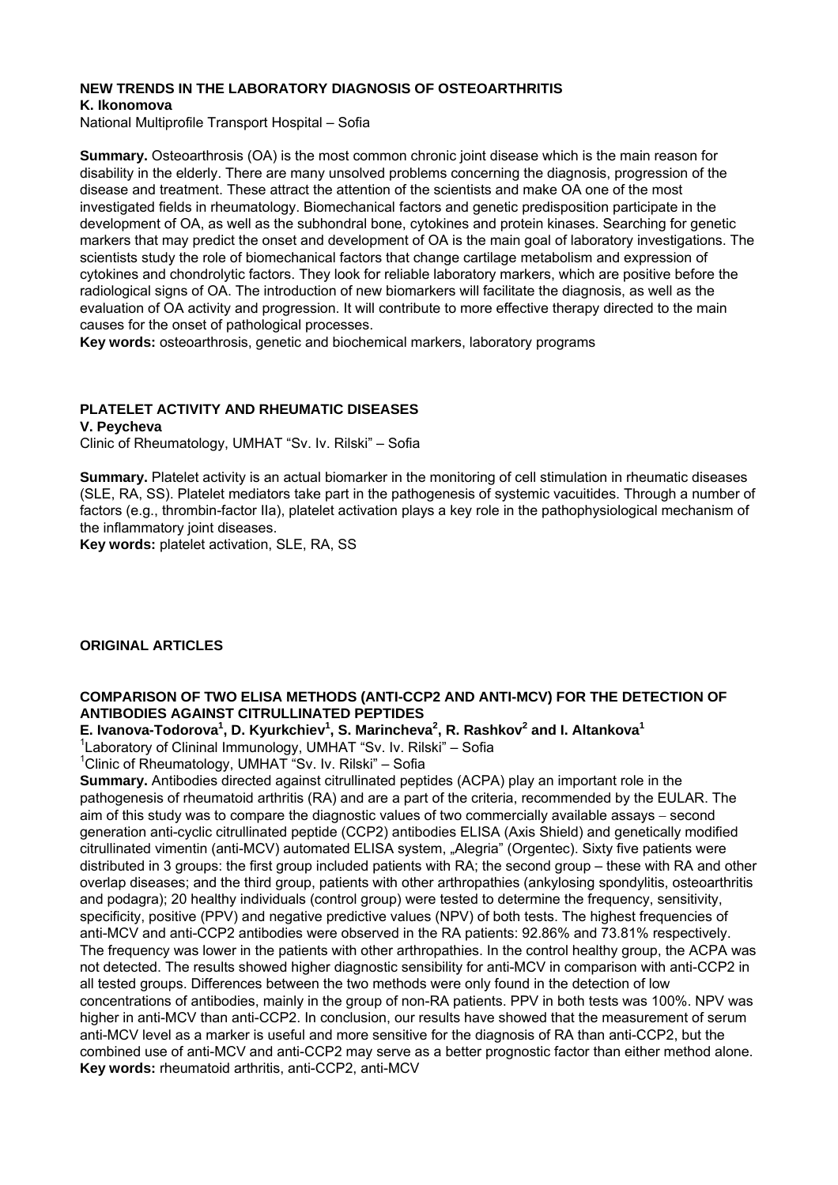#### **NEW TRENDS IN THE LABORATORY DIAGNOSIS OF OSTEOARTHRITIS K. Ikonomova**

National Multiprofile Transport Hospital – Sofia

**Summary.** Osteoarthrosis (OA) is the most common chronic joint disease which is the main reason for disability in the elderly. There are many unsolved problems concerning the diagnosis, progression of the disease and treatment. These attract the attention of the scientists and make OA one of the most investigated fields in rheumatology. Biomechanical factors and genetic predisposition participate in the development of OA, as well as the subhondral bone, cytokines and protein kinases. Searching for genetic markers that may predict the onset and development of OA is the main goal of laboratory investigations. The scientists study the role of biomechanical factors that change cartilage metabolism and expression of cytokines and chondrolytic factors. They look for reliable laboratory markers, which are positive before the radiological signs of OA. The introduction of new biomarkers will facilitate the diagnosis, as well as the evaluation of OA activity and progression. It will contribute to more effective therapy directed to the main causes for the onset of pathological processes.

**Key words:** osteoarthrosis, genetic and biochemical markers, laboratory programs

#### **PLATELET ACTIVITY AND RHEUMATIC DISEASES**

**V. Peycheva** 

Clinic of Rheumatology, UMHAT "Sv. Iv. Rilski" – Sofia

**Summary.** Platelet activity is an actual biomarker in the monitoring of cell stimulation in rheumatic diseases (SLE, RA, SS). Platelet mediators take part in the pathogenesis of systemic vacuitides. Through a number of factors (e.g., thrombin-factor IIa), platelet activation plays a key role in the pathophysiological mechanism of the inflammatory joint diseases.

**Key words:** platelet activation, SLE, RA, SS

#### **ORIGINAL ARTICLES**

#### **COMPARISON OF TWO ELISA METHODS (ANTI-CCP2 AND ANTI-MCV) FOR THE DETECTION OF ANTIBODIES AGAINST CITRULLINATED PEPTIDES**

 $\mathbf{F}$ . Ivanova-Todorova<sup>1</sup>, D. Kyurkchiev<sup>1</sup>, S. Marincheva<sup>2</sup>, R. Rashkov<sup>2</sup> and I. Altankova<sup>1</sup><br><sup>1</sup> eberatery of Clinipel Immunology, UMHAT "Sy, Iv. Rilaki", Sefie

 $1$ Laboratory of Clininal Immunology, UMHAT "Sv. Iv. Rilski" – Sofia

<sup>1</sup>Clinic of Rheumatology, UMHAT "Sv. Iv. Rilski" - Sofia

**Summary.** Antibodies directed against citrullinated peptides (ACPA) play an important role in the pathogenesis of rheumatoid arthritis (RA) and are a part of the criteria, recommended by the EULAR. The aim of this study was to compare the diagnostic values of two commercially available assays – second generation anti-cyclic citrullinated peptide (CCP2) antibodies ELISA (Axis Shield) and genetically modified citrullinated vimentin (anti-MCV) automated ELISA system, "Alegria" (Orgentec). Sixty five patients were distributed in 3 groups: the first group included patients with RA; the second group – these with RA and other overlap diseases; and the third group, patients with other arthropathies (ankylosing spondylitis, osteoarthritis and podagra); 20 healthy individuals (control group) were tested to determine the frequency, sensitivity, specificity, positive (PPV) and negative predictive values (NPV) of both tests. The highest frequencies of anti-MCV and anti-CCP2 antibodies were observed in the RA patients: 92.86% and 73.81% respectively. The frequency was lower in the patients with other arthropathies. In the control healthy group, the ACPA was not detected. The results showed higher diagnostic sensibility for anti-MCV in comparison with anti-CCP2 in all tested groups. Differences between the two methods were only found in the detection of low concentrations of antibodies, mainly in the group of non-RA patients. PPV in both tests was 100%. NPV was higher in anti-MCV than anti-CCP2. In conclusion, our results have showed that the measurement of serum anti-MCV level as a marker is useful and more sensitive for the diagnosis of RA than anti-CCP2, but the combined use of anti-MCV and anti-CCP2 may serve as a better prognostic factor than either method alone. **Key words:** rheumatoid arthritis, anti-CCP2, anti-MCV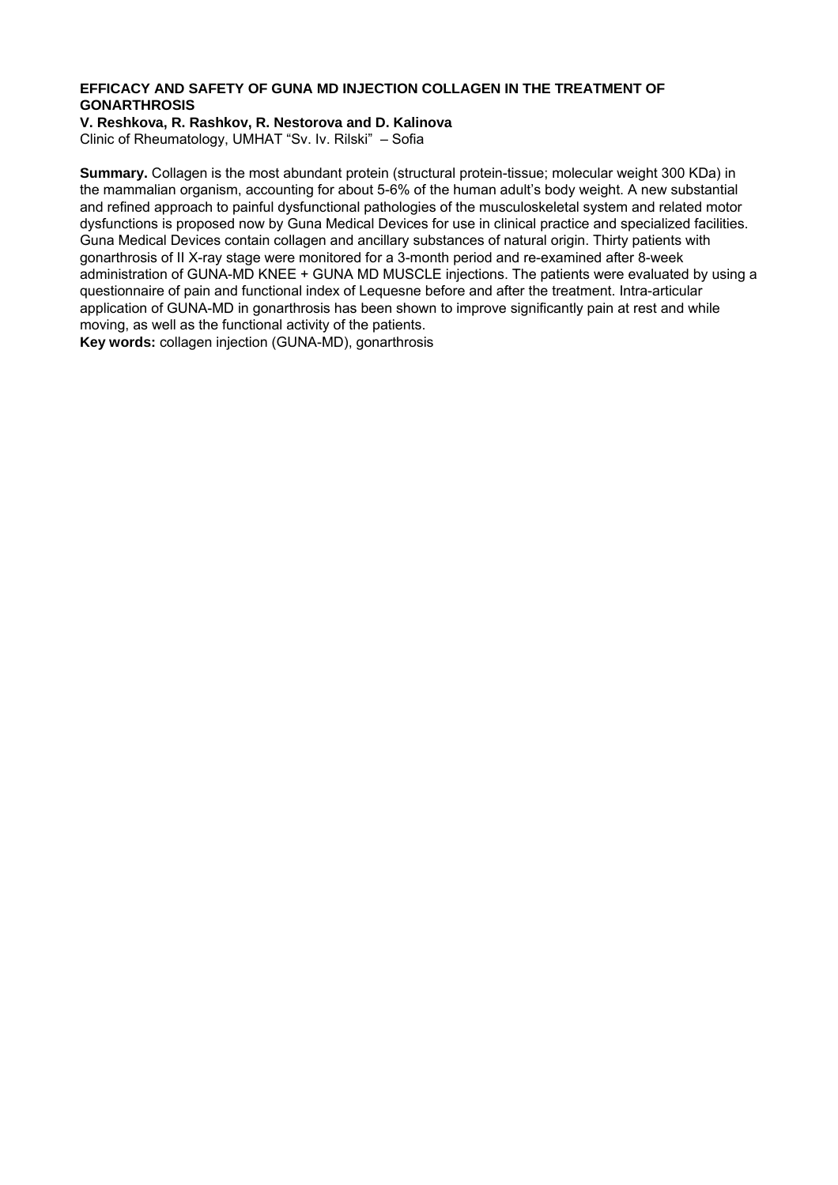# **EFFICACY AND SAFETY OF GUNA MD INJECTION COLLAGEN IN THE TREATMENT OF GONARTHROSIS**

# **V. Reshkova, R. Rashkov, R. Nestorova and D. Kalinova**

Сlinic of Rheumatology, UMHAT "Sv. Iv. Rilski" – Sofia

**Summary.** Collagen is the most abundant protein (structural protein-tissue; molecular weight 300 KDa) in the mammalian organism, accounting for about 5-6% of the human adult's body weight. A new substantial and refined approach to painful dysfunctional pathologies of the musculoskeletal system and related motor dysfunctions is proposed now by Guna Medical Devices for use in clinical practice and specialized facilities. Guna Medical Devices contain collagen and ancillary substances of natural origin. Thirty patients with gonarthrosis of II X-ray stage were monitored for a 3-month period and re-examined after 8-week administration of GUNA-MD KNEE + GUNA MD MUSCLE injections. The patients were evaluated by using a questionnaire of pain and functional index of Lequesne before and after the treatment. Intra-articular application of GUNA-MD in gonarthrosis has been shown to improve significantly pain at rest and while moving, as well as the functional activity of the patients.

**Key words:** collagen injection (GUNA-MD), gonarthrosis